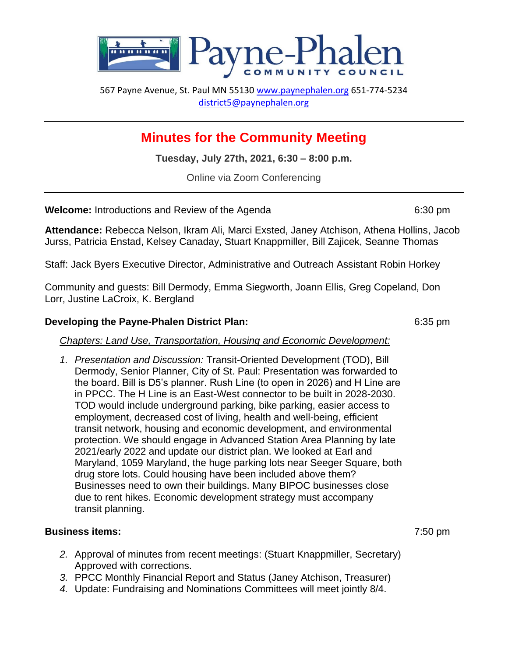

567 Payne Avenue, St. Paul MN 55130 [www.paynephalen.org](http://www.paynephalen.org/) 651-774-5234 [district5@paynephalen.org](mailto:district5@paynephalen.org)

## **Minutes for the Community Meeting**

**Tuesday, July 27th, 2021, 6:30 – 8:00 p.m.**

Online via Zoom Conferencing

**Welcome:** Introductions and Review of the Agenda 6:30 pm

**Attendance:** Rebecca Nelson, Ikram Ali, Marci Exsted, Janey Atchison, Athena Hollins, Jacob Jurss, Patricia Enstad, Kelsey Canaday, Stuart Knappmiller, Bill Zajicek, Seanne Thomas

Staff: Jack Byers Executive Director, Administrative and Outreach Assistant Robin Horkey

Community and guests: Bill Dermody, Emma Siegworth, Joann Ellis, Greg Copeland, Don Lorr, Justine LaCroix, K. Bergland

## **Developing the Payne-Phalen District Plan:** 6:35 pm

*Chapters: Land Use, Transportation, Housing and Economic Development:*

*1. Presentation and Discussion:* Transit-Oriented Development (TOD), Bill Dermody, Senior Planner, City of St. Paul: Presentation was forwarded to the board. Bill is D5's planner. Rush Line (to open in 2026) and H Line are in PPCC. The H Line is an East-West connector to be built in 2028-2030. TOD would include underground parking, bike parking, easier access to employment, decreased cost of living, health and well-being, efficient transit network, housing and economic development, and environmental protection. We should engage in Advanced Station Area Planning by late 2021/early 2022 and update our district plan. We looked at Earl and Maryland, 1059 Maryland, the huge parking lots near Seeger Square, both drug store lots. Could housing have been included above them? Businesses need to own their buildings. Many BIPOC businesses close due to rent hikes. Economic development strategy must accompany transit planning.

## **Business items:** 7:50 pm

- *2.* Approval of minutes from recent meetings: (Stuart Knappmiller, Secretary) Approved with corrections.
- *3.* PPCC Monthly Financial Report and Status (Janey Atchison, Treasurer)
- *4.* Update: Fundraising and Nominations Committees will meet jointly 8/4.